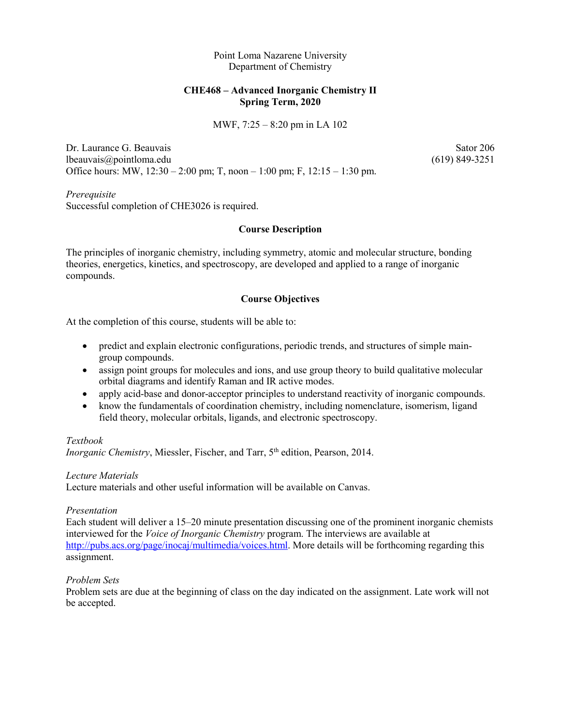Point Loma Nazarene University Department of Chemistry

# **CHE468 – Advanced Inorganic Chemistry II Spring Term, 2020**

#### MWF, 7:25 – 8:20 pm in LA 102

Dr. Laurance G. Beauvais Sator 206 lbeauvais@pointloma.edu (619) 849-3251 Office hours: MW, 12:30 – 2:00 pm; T, noon – 1:00 pm; F, 12:15 – 1:30 pm.

*Prerequisite* Successful completion of CHE3026 is required.

# **Course Description**

The principles of inorganic chemistry, including symmetry, atomic and molecular structure, bonding theories, energetics, kinetics, and spectroscopy, are developed and applied to a range of inorganic compounds.

# **Course Objectives**

At the completion of this course, students will be able to:

- predict and explain electronic configurations, periodic trends, and structures of simple maingroup compounds.
- assign point groups for molecules and ions, and use group theory to build qualitative molecular orbital diagrams and identify Raman and IR active modes.
- apply acid-base and donor-acceptor principles to understand reactivity of inorganic compounds.
- know the fundamentals of coordination chemistry, including nomenclature, isomerism, ligand field theory, molecular orbitals, ligands, and electronic spectroscopy.

## *Textbook*

*Inorganic Chemistry*, Miessler, Fischer, and Tarr, 5<sup>th</sup> edition, Pearson, 2014.

## *Lecture Materials*

Lecture materials and other useful information will be available on Canvas.

## *Presentation*

Each student will deliver a 15–20 minute presentation discussing one of the prominent inorganic chemists interviewed for the *Voice of Inorganic Chemistry* program. The interviews are available at [http://pubs.acs.org/page/inocaj/multimedia/voices.html.](http://pubs.acs.org/page/inocaj/multimedia/voices.html) More details will be forthcoming regarding this assignment.

# *Problem Sets*

Problem sets are due at the beginning of class on the day indicated on the assignment. Late work will not be accepted.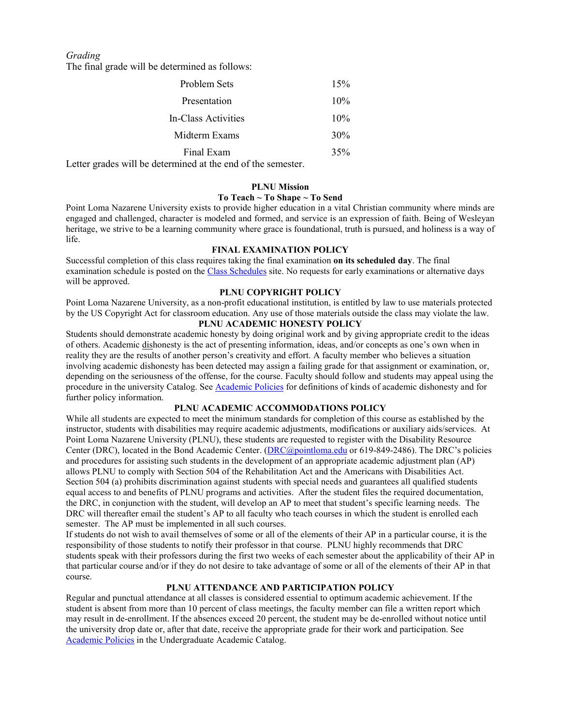*Grading*

The final grade will be determined as follows:

| Problem Sets        | 15% |
|---------------------|-----|
| Presentation        | 10% |
| In-Class Activities | 10% |
| Midterm Exams       | 30% |
| Final Exam          | 35% |

Letter grades will be determined at the end of the semester.

#### **PLNU Mission**

#### **To Teach ~ To Shape ~ To Send**

Point Loma Nazarene University exists to provide higher education in a vital Christian community where minds are engaged and challenged, character is modeled and formed, and service is an expression of faith. Being of Wesleyan heritage, we strive to be a learning community where grace is foundational, truth is pursued, and holiness is a way of life.

## **FINAL EXAMINATION POLICY**

Successful completion of this class requires taking the final examination **on its scheduled day**. The final examination schedule is posted on the [Class Schedules](http://www.pointloma.edu/experience/academics/class-schedules) site. No requests for early examinations or alternative days will be approved.

## **PLNU COPYRIGHT POLICY**

Point Loma Nazarene University, as a non-profit educational institution, is entitled by law to use materials protected by the US Copyright Act for classroom education. Any use of those materials outside the class may violate the law.

# **PLNU ACADEMIC HONESTY POLICY**

Students should demonstrate academic honesty by doing original work and by giving appropriate credit to the ideas of others. Academic dishonesty is the act of presenting information, ideas, and/or concepts as one's own when in reality they are the results of another person's creativity and effort. A faculty member who believes a situation involving academic dishonesty has been detected may assign a failing grade for that assignment or examination, or, depending on the seriousness of the offense, for the course. Faculty should follow and students may appeal using the procedure in the university Catalog. See [Academic Policies](http://catalog.pointloma.edu/content.php?catoid=41&navoid=2435) for definitions of kinds of academic dishonesty and for further policy information.

# **PLNU ACADEMIC ACCOMMODATIONS POLICY**

While all students are expected to meet the minimum standards for completion of this course as established by the instructor, students with disabilities may require academic adjustments, modifications or auxiliary aids/services. At Point Loma Nazarene University (PLNU), these students are requested to register with the Disability Resource Center (DRC), located in the Bond Academic Center. [\(DRC@pointloma.edu](mailto:DRC@pointloma.edu) or 619-849-2486). The DRC's policies and procedures for assisting such students in the development of an appropriate academic adjustment plan (AP) allows PLNU to comply with Section 504 of the Rehabilitation Act and the Americans with Disabilities Act. Section 504 (a) prohibits discrimination against students with special needs and guarantees all qualified students equal access to and benefits of PLNU programs and activities. After the student files the required documentation, the DRC, in conjunction with the student, will develop an AP to meet that student's specific learning needs. The DRC will thereafter email the student's AP to all faculty who teach courses in which the student is enrolled each semester. The AP must be implemented in all such courses.

If students do not wish to avail themselves of some or all of the elements of their AP in a particular course, it is the responsibility of those students to notify their professor in that course. PLNU highly recommends that DRC students speak with their professors during the first two weeks of each semester about the applicability of their AP in that particular course and/or if they do not desire to take advantage of some or all of the elements of their AP in that course.

## **PLNU ATTENDANCE AND PARTICIPATION POLICY**

Regular and punctual attendance at all classes is considered essential to optimum academic achievement. If the student is absent from more than 10 percent of class meetings, the faculty member can file a written report which may result in de-enrollment. If the absences exceed 20 percent, the student may be de-enrolled without notice until the university drop date or, after that date, receive the appropriate grade for their work and participation. See [Academic Policies](http://catalog.pointloma.edu/content.php?catoid=41&navoid=2435) in the Undergraduate Academic Catalog.